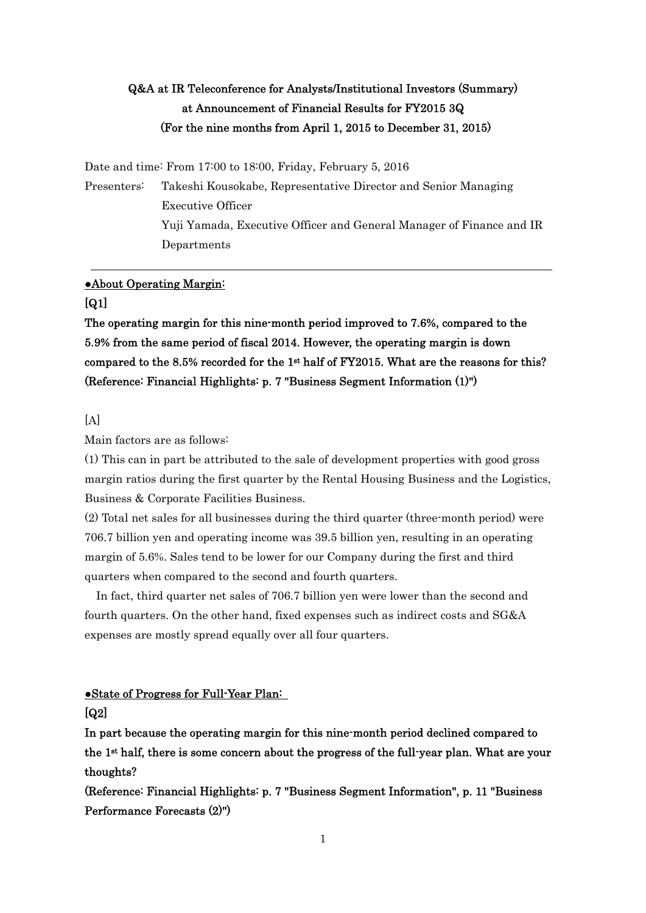## Q&A at IR Teleconference for Analysts/Institutional Investors (Summary) at Announcement of Financial Results for FY2015 3Q (For the nine months from April 1, 2015 to December 31, 2015)

Date and time: From 17:00 to 18:00, Friday, February 5, 2016

Presenters: Takeshi Kousokabe, Representative Director and Senior Managing Executive Officer Yuji Yamada, Executive Officer and General Manager of Finance and IR Departments

#### ●About Operating Margin:

#### [Q1]

The operating margin for this nine-month period improved to 7.6%, compared to the 5.9% from the same period of fiscal 2014. However, the operating margin is down compared to the 8.5% recorded for the 1st half of FY2015. What are the reasons for this? (Reference: Financial Highlights: p. 7 "Business Segment Information (1)")

#### $[A]$

Main factors are as follows:

(1) This can in part be attributed to the sale of development properties with good gross margin ratios during the first quarter by the Rental Housing Business and the Logistics, Business & Corporate Facilities Business.

(2) Total net sales for all businesses during the third quarter (three-month period) were 706.7 billion yen and operating income was 39.5 billion yen, resulting in an operating margin of 5.6%. Sales tend to be lower for our Company during the first and third quarters when compared to the second and fourth quarters.

In fact, third quarter net sales of 706.7 billion yen were lower than the second and fourth quarters. On the other hand, fixed expenses such as indirect costs and SG&A expenses are mostly spread equally over all four quarters.

#### ●State of Progress for Full-Year Plan: [Q2]

In part because the operating margin for this nine-month period declined compared to the 1st half, there is some concern about the progress of the full-year plan. What are your thoughts?

(Reference: Financial Highlights: p. 7 "Business Segment Information", p. 11 "Business Performance Forecasts (2)")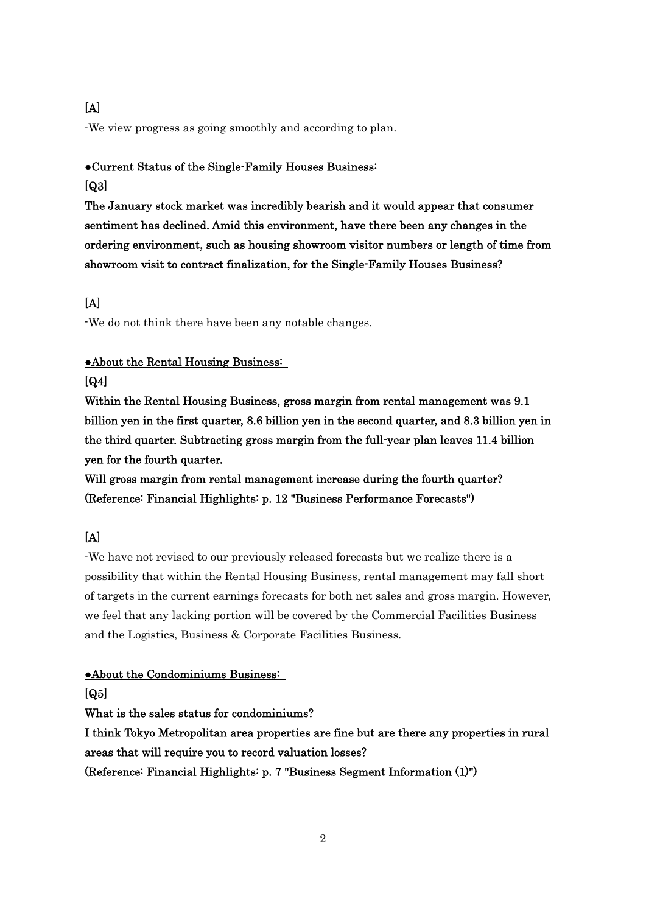## [A]

-We view progress as going smoothly and according to plan.

# ●Current Status of the Single-Family Houses Business:

## $[Q3]$

The January stock market was incredibly bearish and it would appear that consumer sentiment has declined. Amid this environment, have there been any changes in the ordering environment, such as housing showroom visitor numbers or length of time from showroom visit to contract finalization, for the Single-Family Houses Business?

## [A]

-We do not think there have been any notable changes.

#### ●About the Rental Housing Business:

#### [Q4]

Within the Rental Housing Business, gross margin from rental management was 9.1 billion yen in the first quarter, 8.6 billion yen in the second quarter, and 8.3 billion yen in the third quarter. Subtracting gross margin from the full-year plan leaves 11.4 billion yen for the fourth quarter.

Will gross margin from rental management increase during the fourth quarter? (Reference: Financial Highlights: p. 12 "Business Performance Forecasts")

# [A]

-We have not revised to our previously released forecasts but we realize there is a possibility that within the Rental Housing Business, rental management may fall short of targets in the current earnings forecasts for both net sales and gross margin. However, we feel that any lacking portion will be covered by the Commercial Facilities Business and the Logistics, Business & Corporate Facilities Business.

## ●About the Condominiums Business:

[Q5]

What is the sales status for condominiums?

I think Tokyo Metropolitan area properties are fine but are there any properties in rural areas that will require you to record valuation losses? (Reference: Financial Highlights: p. 7 "Business Segment Information (1)")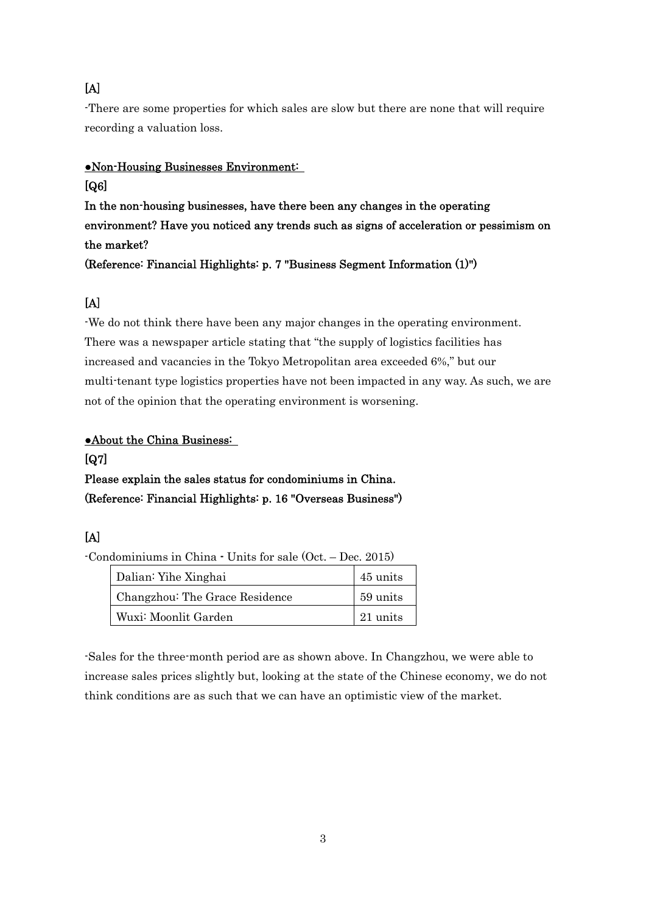## [A]

-There are some properties for which sales are slow but there are none that will require recording a valuation loss.

#### ●Non-Housing Businesses Environment:

## [Q6]

In the non-housing businesses, have there been any changes in the operating environment? Have you noticed any trends such as signs of acceleration or pessimism on the market?

(Reference: Financial Highlights: p. 7 "Business Segment Information (1)")

## [A]

-We do not think there have been any major changes in the operating environment. There was a newspaper article stating that "the supply of logistics facilities has increased and vacancies in the Tokyo Metropolitan area exceeded 6%," but our multi-tenant type logistics properties have not been impacted in any way. As such, we are not of the opinion that the operating environment is worsening.

#### ●About the China Business:

#### [Q7]

# Please explain the sales status for condominiums in China. (Reference: Financial Highlights: p. 16 "Overseas Business")

## [A]

-Condominiums in China - Units for sale (Oct. – Dec. 2015)

| Dalian: Yihe Xinghai           | 45 units |
|--------------------------------|----------|
| Changzhou: The Grace Residence | 59 units |
| Wuxi: Moonlit Garden           | 21 units |

-Sales for the three-month period are as shown above. In Changzhou, we were able to increase sales prices slightly but, looking at the state of the Chinese economy, we do not think conditions are as such that we can have an optimistic view of the market.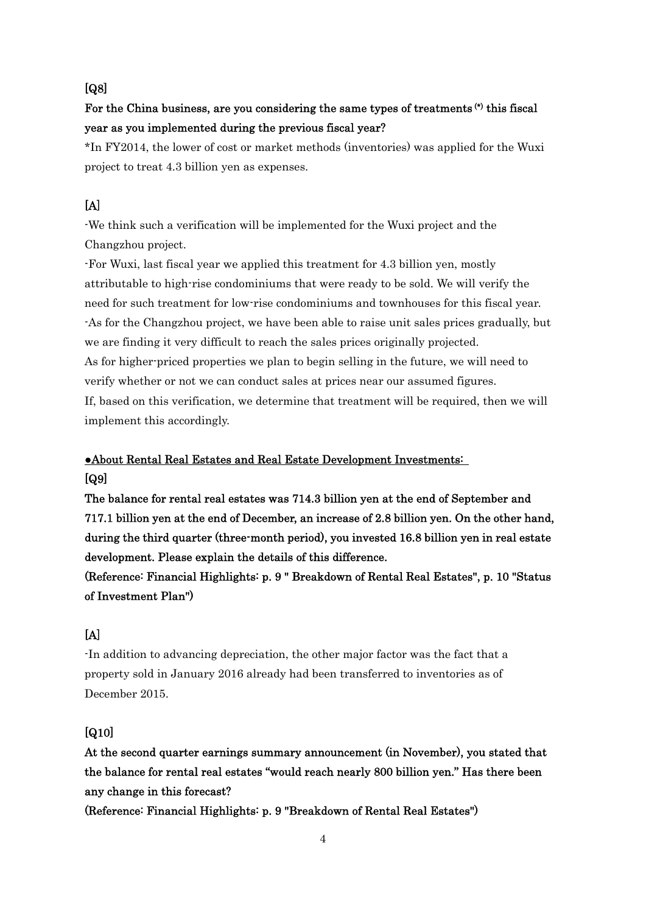#### [Q8]

## For the China business, are you considering the same types of treatments (\*) this fiscal year as you implemented during the previous fiscal year?

\*In FY2014, the lower of cost or market methods (inventories) was applied for the Wuxi project to treat 4.3 billion yen as expenses.

## [A]

-We think such a verification will be implemented for the Wuxi project and the Changzhou project.

-For Wuxi, last fiscal year we applied this treatment for 4.3 billion yen, mostly attributable to high-rise condominiums that were ready to be sold. We will verify the need for such treatment for low-rise condominiums and townhouses for this fiscal year. -As for the Changzhou project, we have been able to raise unit sales prices gradually, but we are finding it very difficult to reach the sales prices originally projected. As for higher-priced properties we plan to begin selling in the future, we will need to verify whether or not we can conduct sales at prices near our assumed figures. If, based on this verification, we determine that treatment will be required, then we will implement this accordingly.

## ●About Rental Real Estates and Real Estate Development Investments: [Q9]

The balance for rental real estates was 714.3 billion yen at the end of September and 717.1 billion yen at the end of December, an increase of 2.8 billion yen. On the other hand, during the third quarter (three-month period), you invested 16.8 billion yen in real estate development. Please explain the details of this difference.

(Reference: Financial Highlights: p. 9 " Breakdown of Rental Real Estates", p. 10 "Status of Investment Plan")

#### [A]

-In addition to advancing depreciation, the other major factor was the fact that a property sold in January 2016 already had been transferred to inventories as of December 2015.

#### [Q10]

At the second quarter earnings summary announcement (in November), you stated that the balance for rental real estates "would reach nearly 800 billion yen." Has there been any change in this forecast?

(Reference: Financial Highlights: p. 9 "Breakdown of Rental Real Estates")